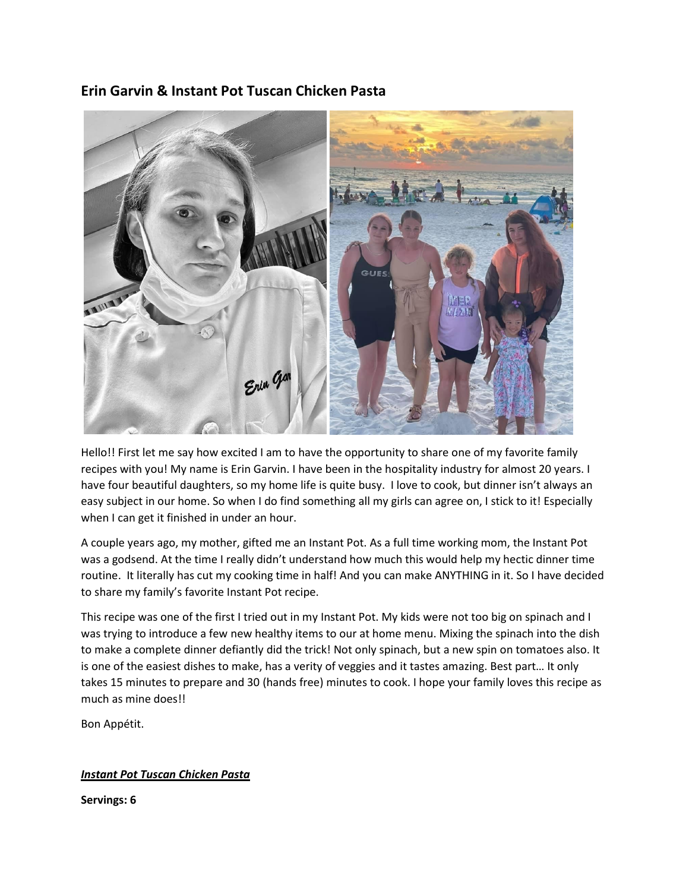# Erin Garvin & Instant Pot Tuscan Chicken Pasta



Hello!! First let me say how excited I am to have the opportunity to share one of my favorite family recipes with you! My name is Erin Garvin. I have been in the hospitality industry for almost 20 years. I have four beautiful daughters, so my home life is quite busy. I love to cook, but dinner isn't always an easy subject in our home. So when I do find something all my girls can agree on, I stick to it! Especially when I can get it finished in under an hour.

A couple years ago, my mother, gifted me an Instant Pot. As a full time working mom, the Instant Pot was a godsend. At the time I really didn't understand how much this would help my hectic dinner time routine. It literally has cut my cooking time in half! And you can make ANYTHING in it. So I have decided to share my family's favorite Instant Pot recipe.

This recipe was one of the first I tried out in my Instant Pot. My kids were not too big on spinach and I was trying to introduce a few new healthy items to our at home menu. Mixing the spinach into the dish to make a complete dinner defiantly did the trick! Not only spinach, but a new spin on tomatoes also. It is one of the easiest dishes to make, has a verity of veggies and it tastes amazing. Best part… It only takes 15 minutes to prepare and 30 (hands free) minutes to cook. I hope your family loves this recipe as much as mine does!!

Bon Appétit.

## Instant Pot Tuscan Chicken Pasta

Servings: 6